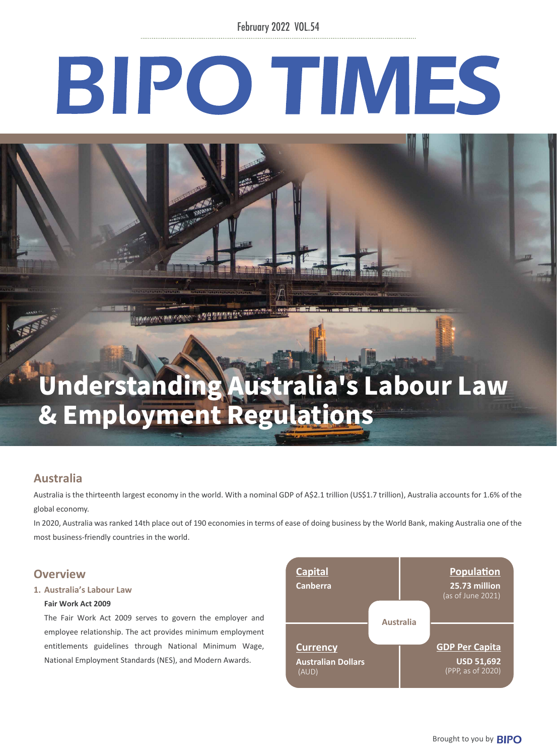February 2022 VOL.54

# BIPO TIMES

# Understanding Australia's Labour Law & Employment Regulations

# **Australia**

Australia is the thirteenth largest economy in the world. With a nominal GDP of A\$2.1 trillion (US\$1.7 trillion), Australia accounts for 1.6% of the global economy.

In 2020, Australia was ranked 14th place out of 190 economies in terms of ease of doing business by the World Bank, making Australia one of the most business-friendly countries in the world.

### **Overview**

#### **1. Australia's Labour Law**

#### **Fair Work Act 2009**

The Fair Work Act 2009 serves to govern the employer and employee relationship. The act provides minimum employment entitlements guidelines through National Minimum Wage, National Employment Standards (NES), and Modern Awards.

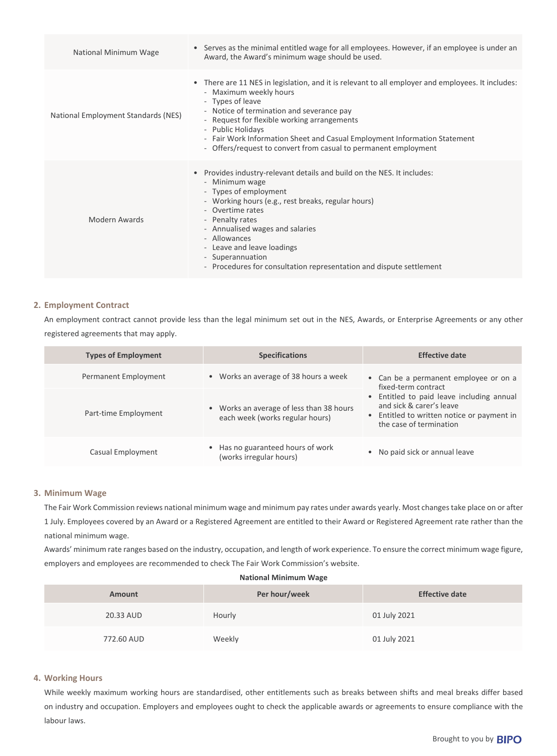| National Minimum Wage               | Serves as the minimal entitled wage for all employees. However, if an employee is under an<br>$\bullet$<br>Award, the Award's minimum wage should be used.                                                                                                                                                                                                                                                       |  |
|-------------------------------------|------------------------------------------------------------------------------------------------------------------------------------------------------------------------------------------------------------------------------------------------------------------------------------------------------------------------------------------------------------------------------------------------------------------|--|
| National Employment Standards (NES) | • There are 11 NES in legislation, and it is relevant to all employer and employees. It includes:<br>- Maximum weekly hours<br>- Types of leave<br>- Notice of termination and severance pay<br>- Request for flexible working arrangements<br>- Public Holidays<br>- Fair Work Information Sheet and Casual Employment Information Statement<br>- Offers/request to convert from casual to permanent employment |  |
| Modern Awards                       | Provides industry-relevant details and build on the NES. It includes:<br>$\bullet$<br>- Minimum wage<br>- Types of employment<br>- Working hours (e.g., rest breaks, regular hours)<br>- Overtime rates<br>- Penalty rates<br>- Annualised wages and salaries<br>- Allowances<br>- Leave and leave loadings<br>- Superannuation<br>- Procedures for consultation representation and dispute settlement           |  |

#### **2. Employment Contract**

An employment contract cannot provide less than the legal minimum set out in the NES, Awards, or Enterprise Agreements or any other registered agreements that may apply.

| <b>Types of Employment</b> | <b>Specifications</b>                                                       | <b>Effective date</b>                                                                                                                          |
|----------------------------|-----------------------------------------------------------------------------|------------------------------------------------------------------------------------------------------------------------------------------------|
| Permanent Employment       | • Works an average of 38 hours a week                                       | • Can be a permanent employee or on a<br>fixed-term contract                                                                                   |
| Part-time Employment       | • Works an average of less than 38 hours<br>each week (works regular hours) | • Entitled to paid leave including annual<br>and sick & carer's leave<br>• Entitled to written notice or payment in<br>the case of termination |
| Casual Employment          | • Has no guaranteed hours of work<br>(works irregular hours)                | • No paid sick or annual leave                                                                                                                 |

#### **3. Minimum Wage**

The Fair Work Commission reviews national minimum wage and minimum pay rates under awards yearly. Most changes take place on or after 1 July. Employees covered by an Award or a Registered Agreement are entitled to their Award or Registered Agreement rate rather than the national minimum wage.

Awards' minimum rate ranges based on the industry, occupation, and length of work experience. To ensure the correct minimum wage figure, employers and employees are recommended to check The Fair Work Commission's website.

**National Minimum Wage**

| <b>Amount</b> | Per hour/week | <b>Effective date</b> |
|---------------|---------------|-----------------------|
| 20.33 AUD     | Hourly        | 01 July 2021          |
| 772.60 AUD    | Weekly        | 01 July 2021          |

#### **4. Working Hours**

While weekly maximum working hours are standardised, other entitlements such as breaks between shifts and meal breaks differ based on industry and occupation. Employers and employees ought to check the applicable awards or agreements to ensure compliance with the labour laws.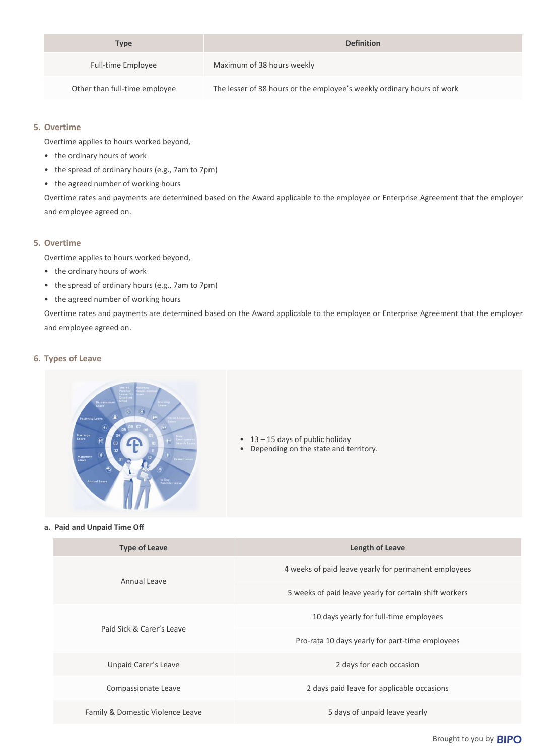| Type                          | <b>Definition</b>                                                      |
|-------------------------------|------------------------------------------------------------------------|
| <b>Full-time Employee</b>     | Maximum of 38 hours weekly                                             |
| Other than full-time employee | The lesser of 38 hours or the employee's weekly ordinary hours of work |

#### **5. Overtime**

Overtime applies to hours worked beyond,

- the ordinary hours of work
- the spread of ordinary hours (e.g., 7am to 7pm)
- the agreed number of working hours

Overtime rates and payments are determined based on the Award applicable to the employee or Enterprise Agreement that the employer and employee agreed on.

#### **5. Overtime**

Overtime applies to hours worked beyond,

- the ordinary hours of work
- the spread of ordinary hours (e.g., 7am to 7pm)
- the agreed number of working hours

Overtime rates and payments are determined based on the Award applicable to the employee or Enterprise Agreement that the employer and employee agreed on.

#### **6. Types of Leave**



- 13 15 days of public holiday
- Depending on the state and territory.

#### **a. Paid and Unpaid Time Off**

|                           | <b>Type of Leave</b>                                   | Length of Leave                            |
|---------------------------|--------------------------------------------------------|--------------------------------------------|
| Annual Leave              | 4 weeks of paid leave yearly for permanent employees   |                                            |
|                           | 5 weeks of paid leave yearly for certain shift workers |                                            |
| Paid Sick & Carer's Leave | 10 days yearly for full-time employees                 |                                            |
|                           | Pro-rata 10 days yearly for part-time employees        |                                            |
|                           | Unpaid Carer's Leave                                   | 2 days for each occasion                   |
|                           | Compassionate Leave                                    | 2 days paid leave for applicable occasions |
|                           | Family & Domestic Violence Leave                       | 5 days of unpaid leave yearly              |

Brought to you by **BIPO**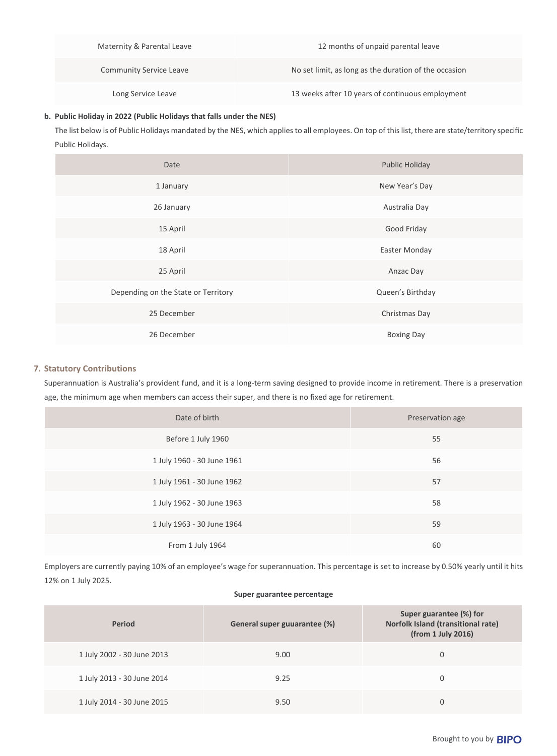| Maternity & Parental Leave     | 12 months of unpaid parental leave                    |
|--------------------------------|-------------------------------------------------------|
| <b>Community Service Leave</b> | No set limit, as long as the duration of the occasion |
| Long Service Leave             | 13 weeks after 10 years of continuous employment      |

#### **b. Public Holiday in 2022 (Public Holidays that falls under the NES)**

The list below is of Public Holidays mandated by the NES, which applies to all employees. On top of this list, there are state/territory specific Public Holidays.

| Date                                | <b>Public Holiday</b> |  |
|-------------------------------------|-----------------------|--|
| 1 January                           | New Year's Day        |  |
| 26 January                          | Australia Day         |  |
| 15 April                            | Good Friday           |  |
| 18 April                            | Easter Monday         |  |
| 25 April                            | Anzac Day             |  |
| Depending on the State or Territory | Queen's Birthday      |  |
| 25 December                         | Christmas Day         |  |
| 26 December                         | <b>Boxing Day</b>     |  |

#### **7. Statutory Contributions**

Superannuation is Australia's provident fund, and it is a long-term saving designed to provide income in retirement. There is a preservation age, the minimum age when members can access their super, and there is no fixed age for retirement.

| Date of birth              | Preservation age |
|----------------------------|------------------|
| Before 1 July 1960         | 55               |
| 1 July 1960 - 30 June 1961 | 56               |
| 1 July 1961 - 30 June 1962 | 57               |
| 1 July 1962 - 30 June 1963 | 58               |
| 1 July 1963 - 30 June 1964 | 59               |
| From 1 July 1964           | 60               |

Employers are currently paying 10% of an employee's wage for superannuation. This percentage is set to increase by 0.50% yearly until it hits 12% on 1 July 2025.

#### **Super guarantee percentage**

| <b>Period</b>              | General super guuarantee (%) | Super guarantee (%) for<br>Norfolk Island (transitional rate)<br>(from 1 July 2016) |
|----------------------------|------------------------------|-------------------------------------------------------------------------------------|
| 1 July 2002 - 30 June 2013 | 9.00                         | 0                                                                                   |
| 1 July 2013 - 30 June 2014 | 9.25                         | 0                                                                                   |
| 1 July 2014 - 30 June 2015 | 9.50                         | 0                                                                                   |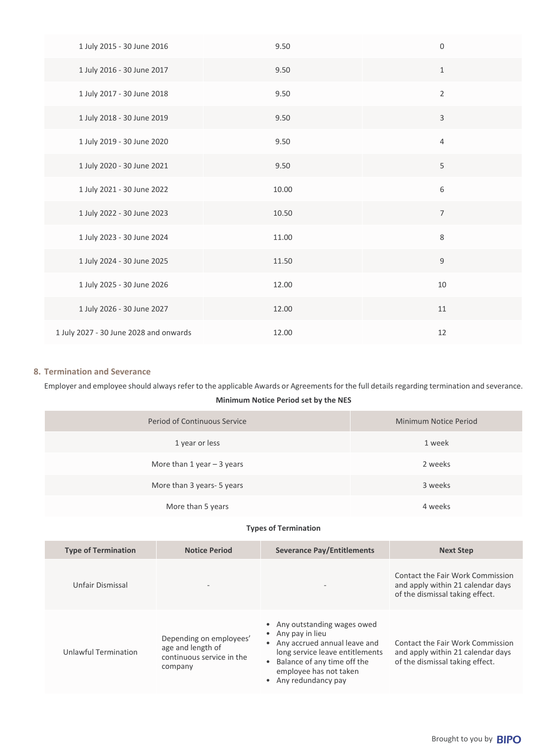| 1 July 2015 - 30 June 2016             | 9.50  | $\mathbf 0$    |
|----------------------------------------|-------|----------------|
| 1 July 2016 - 30 June 2017             | 9.50  | $\,1\,$        |
| 1 July 2017 - 30 June 2018             | 9.50  | $\sqrt{2}$     |
| 1 July 2018 - 30 June 2019             | 9.50  | $\mathsf 3$    |
| 1 July 2019 - 30 June 2020             | 9.50  | $\sqrt{4}$     |
| 1 July 2020 - 30 June 2021             | 9.50  | 5              |
| 1 July 2021 - 30 June 2022             | 10.00 | 6              |
| 1 July 2022 - 30 June 2023             | 10.50 | $\overline{7}$ |
| 1 July 2023 - 30 June 2024             | 11.00 | $\,8\,$        |
| 1 July 2024 - 30 June 2025             | 11.50 | $\mathsf 9$    |
| 1 July 2025 - 30 June 2026             | 12.00 | 10             |
| 1 July 2026 - 30 June 2027             | 12.00 | $11\,$         |
| 1 July 2027 - 30 June 2028 and onwards | 12.00 | 12             |

#### **8. Termination and Severance**

Employer and employee should always refer to the applicable Awards or Agreements for the full details regarding termination and severance.

#### **Minimum Notice Period set by the NES**

| Period of Continuous Service | Minimum Notice Period |
|------------------------------|-----------------------|
| 1 year or less               | 1 week                |
| More than 1 year $-$ 3 years | 2 weeks               |
| More than 3 years- 5 years   | 3 weeks               |
| More than 5 years            | 4 weeks               |

#### **Types of Termination**

| <b>Type of Termination</b> | <b>Notice Period</b>                                                                 | <b>Severance Pay/Entitlements</b>                                                                                                                                                                     | <b>Next Step</b>                                                                                         |
|----------------------------|--------------------------------------------------------------------------------------|-------------------------------------------------------------------------------------------------------------------------------------------------------------------------------------------------------|----------------------------------------------------------------------------------------------------------|
| Unfair Dismissal           | $\overline{\phantom{0}}$                                                             |                                                                                                                                                                                                       | Contact the Fair Work Commission<br>and apply within 21 calendar days<br>of the dismissal taking effect. |
| Unlawful Termination       | Depending on employees'<br>age and length of<br>continuous service in the<br>company | • Any outstanding wages owed<br>• Any pay in lieu<br>• Any accrued annual leave and<br>long service leave entitlements<br>Balance of any time off the<br>employee has not taken<br>Any redundancy pay | Contact the Fair Work Commission<br>and apply within 21 calendar days<br>of the dismissal taking effect. |